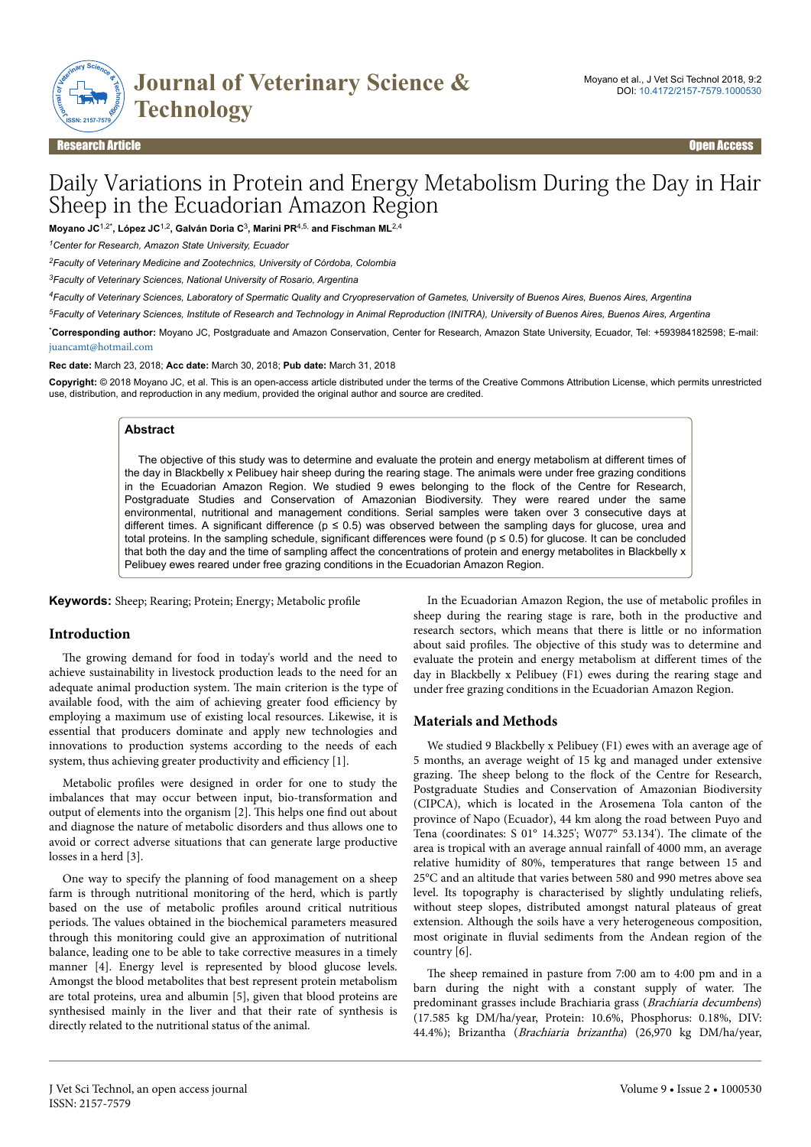

# Daily Variations in Protein and Energy Metabolism During the Day in Hair Sheep in the Ecuadorian Amazon Region

**Moyano JC**1,2\***, López JC**1,2**, Galván Doria C**<sup>3</sup> **, Marini PR**4,5, **and Fischman ML**2,4

*<sup>1</sup>Center for Research, Amazon State University, Ecuador*

*<sup>2</sup>Faculty of Veterinary Medicine and Zootechnics, University of Córdoba, Colombia*

*<sup>3</sup>Faculty of Veterinary Sciences, National University of Rosario, Argentina*

*<sup>4</sup>Faculty of Veterinary Sciences, Laboratory of Spermatic Quality and Cryopreservation of Gametes, University of Buenos Aires, Buenos Aires, Argentina*

*<sup>5</sup>Faculty of Veterinary Sciences, Institute of Research and Technology in Animal Reproduction (INITRA), University of Buenos Aires, Buenos Aires, Argentina*

\***Corresponding author:** Moyano JC, Postgraduate and Amazon Conservation, Center for Research, Amazon State University, Ecuador, Tel: +593984182598; E-mail: [juancamt@hotmail.com](mailto:juancamt@hotmail.com)

**Rec date:** March 23, 2018; **Acc date:** March 30, 2018; **Pub date:** March 31, 2018

**Copyright:** © 2018 Moyano JC, et al. This is an open-access article distributed under the terms of the Creative Commons Attribution License, which permits unrestricted use, distribution, and reproduction in any medium, provided the original author and source are credited.

#### **Abstract**

The objective of this study was to determine and evaluate the protein and energy metabolism at different times of the day in Blackbelly x Pelibuey hair sheep during the rearing stage. The animals were under free grazing conditions in the Ecuadorian Amazon Region. We studied 9 ewes belonging to the flock of the Centre for Research, Postgraduate Studies and Conservation of Amazonian Biodiversity. They were reared under the same environmental, nutritional and management conditions. Serial samples were taken over 3 consecutive days at different times. A significant difference ( $p \le 0.5$ ) was observed between the sampling days for glucose, urea and total proteins. In the sampling schedule, significant differences were found (p ≤ 0.5) for glucose. It can be concluded that both the day and the time of sampling affect the concentrations of protein and energy metabolites in Blackbelly x Pelibuey ewes reared under free grazing conditions in the Ecuadorian Amazon Region.

**Keywords:** Sheep; Rearing; Protein; Energy; Metabolic profile

#### **Introduction**

The growing demand for food in today's world and the need to achieve sustainability in livestock production leads to the need for an adequate animal production system. Нe main criterion is the type of available food, with the aim of achieving greater food efficiency by employing a maximum use of existing local resources. Likewise, it is essential that producers dominate and apply new technologies and innovations to production systems according to the needs of each system, thus achieving greater productivity and efficiency  $[1]$ .

Metabolic profiles were designed in order for one to study the imbalances that may occur between input, bio-transformation and output of elements into the organism [2]. Нis helps one find out about and diagnose the nature of metabolic disorders and thus allows one to avoid or correct adverse situations that can generate large productive losses in a herd [3].

One way to specify the planning of food management on a sheep farm is through nutritional monitoring of the herd, which is partly based on the use of metabolic profiles around critical nutritious periods. Нe values obtained in the biochemical parameters measured through this monitoring could give an approximation of nutritional balance, leading one to be able to take corrective measures in a timely manner [4]. Energy level is represented by blood glucose levels. Amongst the blood metabolites that best represent protein metabolism are total proteins, urea and albumin [5], given that blood proteins are synthesised mainly in the liver and that their rate of synthesis is directly related to the nutritional status of the animal.

In the Ecuadorian Amazon Region, the use of metabolic profiles in sheep during the rearing stage is rare, both in the productive and research sectors, which means that there is little or no information about said profiles. The objective of this study was to determine and evaluate the protein and energy metabolism at different times of the day in Blackbelly x Pelibuey (F1) ewes during the rearing stage and under free grazing conditions in the Ecuadorian Amazon Region.

#### **Materials and Methods**

We studied 9 Blackbelly x Pelibuey (F1) ewes with an average age of 5 months, an average weight of 15 kg and managed under extensive grazing. Нe sheep belong to the flock of the Centre for Research, Postgraduate Studies and Conservation of Amazonian Biodiversity (CIPCA), which is located in the Arosemena Tola canton of the province of Napo (Ecuador), 44 km along the road between Puyo and Tena (coordinates: S 01° 14.325'; W077° 53.134'). Нe climate of the area is tropical with an average annual rainfall of 4000 mm, an average relative humidity of 80%, temperatures that range between 15 and 25°C and an altitude that varies between 580 and 990 metres above sea level. Its topography is characterised by slightly undulating reliefs, without steep slopes, distributed amongst natural plateaus of great extension. Although the soils have a very heterogeneous composition, most originate in fluvial sediments from the Andean region of the country [6].

The sheep remained in pasture from 7:00 am to 4:00 pm and in a barn during the night with a constant supply of water. Нe predominant grasses include Brachiaria grass (Brachiaria decumbens) (17.585 kg DM/ha/year, Protein: 10.6%, Phosphorus: 0.18%, DIV: 44.4%); Brizantha (Brachiaria brizantha) (26,970 kg DM/ha/year,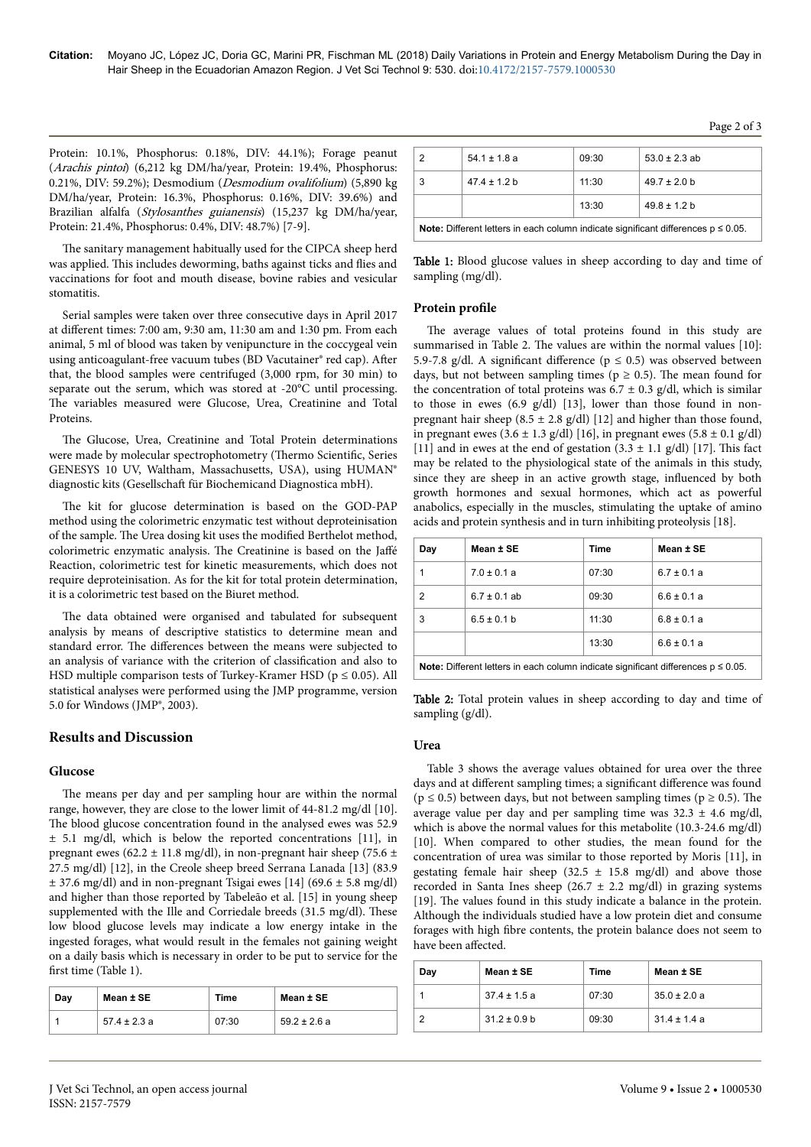Protein: 10.1%, Phosphorus: 0.18%, DIV: 44.1%); Forage peanut (Arachis pintoi) (6,212 kg DM/ha/year, Protein: 19.4%, Phosphorus: 0.21%, DIV: 59.2%); Desmodium (Desmodium ovalifolium) (5,890 kg DM/ha/year, Protein: 16.3%, Phosphorus: 0.16%, DIV: 39.6%) and Brazilian alfalfa (Stylosanthes guianensis) (15,237 kg DM/ha/year, Protein: 21.4%, Phosphorus: 0.4%, DIV: 48.7%) [7-9].

The sanitary management habitually used for the CIPCA sheep herd was applied. This includes deworming, baths against ticks and flies and vaccinations for foot and mouth disease, bovine rabies and vesicular stomatitis

Serial samples were taken over three consecutive days in April 2017 at different times: 7:00 am, 9:30 am, 11:30 am and 1:30 pm. From each animal, 5 ml of blood was taken by venipuncture in the coccygeal vein using anticoagulant-free vacuum tubes (BD Vacutainer® red cap). After that, the blood samples were centrifuged (3,000 rpm, for 30 min) to separate out the serum, which was stored at -20°C until processing. The variables measured were Glucose, Urea, Creatinine and Total **Proteins** 

The Glucose, Urea, Creatinine and Total Protein determinations were made by molecular spectrophotometry (Thermo Scientific, Series GENESYS 10 UV, Waltham, Massachusetts, USA), using HUMAN® diagnostic kits (Gesellschaft für Biochemicand Diagnostica mbH).

The kit for glucose determination is based on the GOD-PAP method using the colorimetric enzymatic test without deproteinisation of the sample. The Urea dosing kit uses the modified Berthelot method, colorimetric enzymatic analysis. The Creatinine is based on the Jaffé Reaction, colorimetric test for kinetic measurements, which does not require deproteinisation. As for the kit for total protein determination, it is a colorimetric test based on the Biuret method.

The data obtained were organised and tabulated for subsequent analysis by means of descriptive statistics to determine mean and standard error. The differences between the means were subjected to an analysis of variance with the criterion of classification and also to HSD multiple comparison tests of Turkey-Kramer HSD ( $p \le 0.05$ ). All statistical analyses were performed using the JMP programme, version 5.0 for Windows (JMP®, 2003).

# **Results and Discussion**

#### Glucose

The means per day and per sampling hour are within the normal range, however, they are close to the lower limit of 44-81.2 mg/dl [10]. The blood glucose concentration found in the analysed ewes was 52.9  $\pm$  5.1 mg/dl, which is below the reported concentrations [11], in pregnant ewes (62.2  $\pm$  11.8 mg/dl), in non-pregnant hair sheep (75.6  $\pm$ 27.5 mg/dl) [12], in the Creole sheep breed Serrana Lanada [13] (83.9  $\pm$  37.6 mg/dl) and in non-pregnant Tsigai ewes [14] (69.6  $\pm$  5.8 mg/dl) and higher than those reported by Tabeleão et al. [15] in young sheep supplemented with the Ille and Corriedale breeds (31.5 mg/dl). These low blood glucose levels may indicate a low energy intake in the ingested forages, what would result in the females not gaining weight on a daily basis which is necessary in order to be put to service for the first time (Table 1).

| Dav | Mean ± SE        | Time  | Mean ± SE        |
|-----|------------------|-------|------------------|
|     | $57.4 \pm 2.3 a$ | 07:30 | $59.2 \pm 2.6$ a |

| 2                                                                                           | $54.1 \pm 1.8$ a | 09:30 | $53.0 \pm 2.3$ ab |
|---------------------------------------------------------------------------------------------|------------------|-------|-------------------|
| 3                                                                                           | $47.4 \pm 1.2$ b | 11:30 | $49.7 \pm 2.0$ b  |
|                                                                                             |                  | 13:30 | $49.8 \pm 1.2$ b  |
| <b>Note:</b> Different letters in each column indicate significant differences $p \le 0.05$ |                  |       |                   |

Table 1: Blood glucose values in sheep according to day and time of sampling (mg/dl).

## Protein profile

The average values of total proteins found in this study are summarised in Table 2. The values are within the normal values [10]: 5.9-7.8 g/dl. A significant difference ( $p \le 0.5$ ) was observed between days, but not between sampling times ( $p \ge 0.5$ ). The mean found for the concentration of total proteins was  $6.7 \pm 0.3$  g/dl, which is similar to those in ewes  $(6.9 \text{ g/dl})$  [13], lower than those found in nonpregnant hair sheep (8.5  $\pm$  2.8 g/dl) [12] and higher than those found, in pregnant ewes  $(3.6 \pm 1.3 \text{ g/dl})$  [16], in pregnant ewes  $(5.8 \pm 0.1 \text{ g/dl})$ [11] and in ewes at the end of gestation  $(3.3 \pm 1.1 \text{ g/d})$  [17]. This fact may be related to the physiological state of the animals in this study, since they are sheep in an active growth stage, influenced by both growth hormones and sexual hormones, which act as powerful anabolics, especially in the muscles, stimulating the uptake of amino acids and protein synthesis and in turn inhibiting proteolysis [18].

| Day                                                                                              | Mean ± SE        | Time  | Mean ± SE       |
|--------------------------------------------------------------------------------------------------|------------------|-------|-----------------|
| 1                                                                                                | $7.0 \pm 0.1 a$  | 07:30 | $6.7 \pm 0.1 a$ |
| 2                                                                                                | $6.7 \pm 0.1$ ab | 09:30 | $6.6 \pm 0.1 a$ |
| 3                                                                                                | $6.5 \pm 0.1$ b  | 11:30 | $6.8 \pm 0.1 a$ |
|                                                                                                  |                  | 13:30 | $6.6 \pm 0.1 a$ |
| Nata: $\bigcap$ ifferent lettere in each eskump indicate significant differences $n \times 0.05$ |                  |       |                 |

Note: Different letters in each column indicate significant differences  $p \le 0.05$ .

Table 2: Total protein values in sheep according to day and time of sampling (g/dl).

### Urea

Table 3 shows the average values obtained for urea over the three days and at different sampling times; a significant difference was found ( $p \le 0.5$ ) between days, but not between sampling times ( $p \ge 0.5$ ). The average value per day and per sampling time was  $32.3 \pm 4.6$  mg/dl, which is above the normal values for this metabolite (10.3-24.6 mg/dl) [10]. When compared to other studies, the mean found for the concentration of urea was similar to those reported by Moris [11], in gestating female hair sheep (32.5  $\pm$  15.8 mg/dl) and above those recorded in Santa Ines sheep (26.7  $\pm$  2.2 mg/dl) in grazing systems [19]. The values found in this study indicate a balance in the protein. Although the individuals studied have a low protein diet and consume forages with high fibre contents, the protein balance does not seem to have been affected.

| Day | Mean ± SE        | <b>Time</b> | Mean ± SE        |
|-----|------------------|-------------|------------------|
|     | $37.4 \pm 1.5$ a | 07:30       | $35.0 \pm 2.0 a$ |
|     | $31.2 \pm 0.9$ b | 09:30       | $31.4 \pm 1.4 a$ |

Page 2 of 3